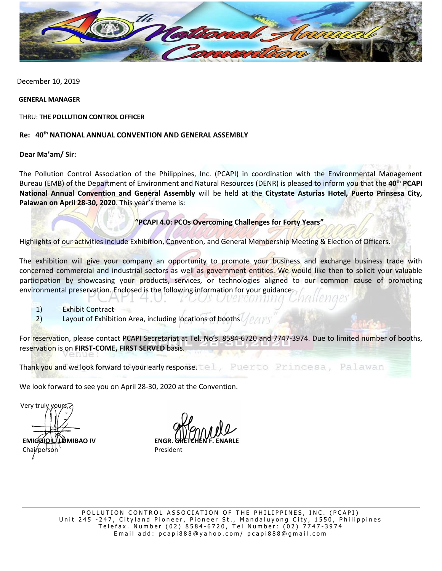

December 10, 2019

#### **GENERAL MANAGER**

THRU: **THE POLLUTION CONTROL OFFICER**

### **Re: 40th NATIONAL ANNUAL CONVENTION AND GENERAL ASSEMBLY**

### **Dear Ma'am/ Sir:**

The Pollution Control Association of the Philippines, Inc. (PCAPI) in coordination with the Environmental Management Bureau (EMB) of the Department of Environment and Natural Resources (DENR) is pleased to inform you that the **40th PCAPI National Annual Convention and General Assembly** will be held at the **Citystate Asturias Hotel, Puerto Prinsesa City, Palawan on April 28-30, 2020**. This year's theme is:

# **"PCAPI 4.0: PCOs Overcoming Challenges for Forty Years"**

Highlights of our activities include Exhibition, Convention, and General Membership Meeting & Election of Officers.

The exhibition will give your company an opportunity to promote your business and exchange business trade with concerned commercial and industrial sectors as well as government entities. We would like then to solicit your valuable participation by showcasing your products, services, or technologies aligned to our common cause of promoting environmental preservation. Enclosed is the following information for your guidance:

verconn

- 1) Exhibit Contract
- 2) Layout of Exhibition Area, including locations of booths  $\sqrt{\rho}$

λ.

For reservation, please contact PCAPI Secretariat at Tel. No's. 8584-6720 and 7747-3974. Due to limited number of booths, reservation is on **FIRST-COME, FIRST SERVED** basis.

Thank you and we look forward to your early response. tel. Puerto Princesa, Palawan

We look forward to see you on April 28-30, 2020 at the Convention.

Very truly you

**EMIGDIO LALOMIBAO IV ENGR.** Chairperson and Chairperson President